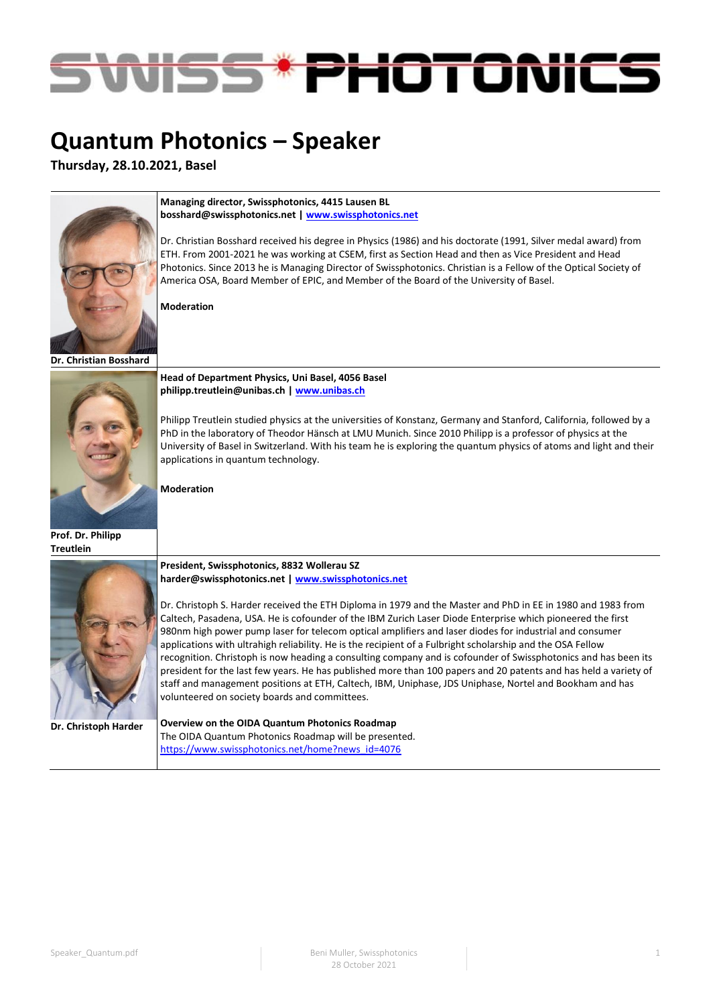

# **Quantum Photonics – Speaker**

**Thursday, 28.10.2021, Basel**



**Managing director, Swissphotonics, 4415 Lausen BL [bosshard@swissphotonics.net](mailto:bosshard@swissphotonics.net) [| www.swissphotonics.net](http://www.swissphotonics.net/)**

Dr. Christian Bosshard received his degree in Physics (1986) and his doctorate (1991, Silver medal award) from ETH. From 2001-2021 he was working at CSEM, first as Section Head and then as Vice President and Head Photonics. Since 2013 he is Managing Director of Swissphotonics. Christian is a Fellow of the Optical Society of America OSA, Board Member of EPIC, and Member of the Board of the University of Basel.

**Moderation**

**Dr. Christian Bosshard**



**Prof. Dr. Philipp** 



**Dr. Christoph Harder**

**Head of Department Physics, Uni Basel, 4056 Basel [philipp.treutlein@unibas.ch](mailto:philipp.treutlein@unibas.ch) [| www.unibas.ch](http://www.unibas.ch/)**

Philipp Treutlein studied physics at the universities of Konstanz, Germany and Stanford, California, followed by a PhD in the laboratory of Theodor Hänsch at LMU Munich. Since 2010 Philipp is a professor of physics at the University of Basel in Switzerland. With his team he is exploring the quantum physics of atoms and light and their applications in quantum technology.

**Moderation**

**President, Swissphotonics, 8832 Wollerau SZ [harder@swissphotonics.net](mailto:harder@swissphotonics.net) [| www.swissphotonics.net](http://www.swissphotonics.net/)**

Dr. Christoph S. Harder received the ETH Diploma in 1979 and the Master and PhD in EE in 1980 and 1983 from Caltech, Pasadena, USA. He is cofounder of the IBM Zurich Laser Diode Enterprise which pioneered the first 980nm high power pump laser for telecom optical amplifiers and laser diodes for industrial and consumer applications with ultrahigh reliability. He is the recipient of a Fulbright scholarship and the OSA Fellow recognition. Christoph is now heading a consulting company and is cofounder of Swissphotonics and has been its president for the last few years. He has published more than 100 papers and 20 patents and has held a variety of staff and management positions at ETH, Caltech, IBM, Uniphase, JDS Uniphase, Nortel and Bookham and has volunteered on society boards and committees.

**Overview on the OIDA Quantum Photonics Roadmap** The OIDA Quantum Photonics Roadmap will be presented. [https://www.swissphotonics.net/home?news\\_id=4076](https://www.swissphotonics.net/home?news_id=4076)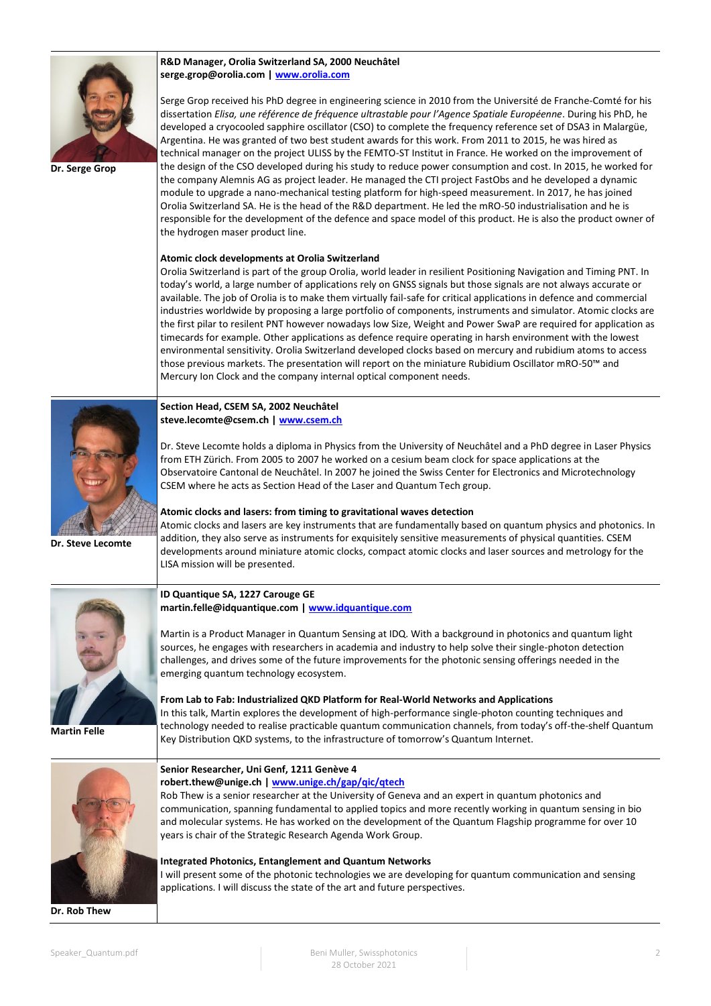

**Dr. Serge Grop**

**R&D Manager, Orolia Switzerland SA, 2000 Neuchâtel [serge.grop@orolia.com](mailto:serge.grop@orolia.com) [| www.orolia.com](http://www.orolia.com/)**

Serge Grop received his PhD degree in engineering science in 2010 from the Université de Franche-Comté for his dissertation *Elisa, une référence de fréquence ultrastable pour l'Agence Spatiale Européenne*. During his PhD, he developed a cryocooled sapphire oscillator (CSO) to complete the frequency reference set of DSA3 in Malargüe, Argentina. He was granted of two best student awards for this work. From 2011 to 2015, he was hired as technical manager on the project ULISS by the FEMTO-ST Institut in France. He worked on the improvement of the design of the CSO developed during his study to reduce power consumption and cost. In 2015, he worked for the company Alemnis AG as project leader. He managed the CTI project FastObs and he developed a dynamic module to upgrade a nano-mechanical testing platform for high-speed measurement. In 2017, he has joined Orolia Switzerland SA. He is the head of the R&D department. He led the mRO-50 industrialisation and he is responsible for the development of the defence and space model of this product. He is also the product owner of the hydrogen maser product line.

#### **Atomic clock developments at Orolia Switzerland**

Orolia Switzerland is part of the group Orolia, world leader in resilient Positioning Navigation and Timing PNT. In today's world, a large number of applications rely on GNSS signals but those signals are not always accurate or available. The job of Orolia is to make them virtually fail-safe for critical applications in defence and commercial industries worldwide by proposing a large portfolio of components, instruments and simulator. Atomic clocks are the first pilar to resilent PNT however nowadays low Size, Weight and Power SwaP are required for application as timecards for example. Other applications as defence require operating in harsh environment with the lowest environmental sensitivity. Orolia Switzerland developed clocks based on mercury and rubidium atoms to access those previous markets. The presentation will report on the miniature Rubidium Oscillator mRO-50™ and Mercury Ion Clock and the company internal optical component needs.



**Section Head, CSEM SA, 2002 Neuchâtel [steve.lecomte@csem.ch](mailto:steve.lecomte@csem.ch) | [www.csem.ch](http://www.csem.ch/)**

Dr. Steve Lecomte holds a diploma in Physics from the University of Neuchâtel and a PhD degree in Laser Physics from ETH Zürich. From 2005 to 2007 he worked on a cesium beam clock for space applications at the Observatoire Cantonal de Neuchâtel. In 2007 he joined the Swiss Center for Electronics and Microtechnology CSEM where he acts as Section Head of the Laser and Quantum Tech group.

**Dr. Steve Lecomte**

#### **Atomic clocks and lasers: from timing to gravitational waves detection**

Atomic clocks and lasers are key instruments that are fundamentally based on quantum physics and photonics. In addition, they also serve as instruments for exquisitely sensitive measurements of physical quantities. CSEM developments around miniature atomic clocks, compact atomic clocks and laser sources and metrology for the LISA mission will be presented.



**Martin Felle**

#### **ID Quantique SA, 1227 Carouge GE [martin.felle@idquantique.com](mailto:martin.felle@idquantique.com) [| www.idquantique.com](http://www.idquantique.com/)**

Martin is a Product Manager in Quantum Sensing at IDQ. With a background in photonics and quantum light sources, he engages with researchers in academia and industry to help solve their single-photon detection challenges, and drives some of the future improvements for the photonic sensing offerings needed in the emerging quantum technology ecosystem.

**From Lab to Fab: Industrialized QKD Platform for Real-World Networks and Applications**

In this talk, Martin explores the development of high-performance single-photon counting techniques and technology needed to realise practicable quantum communication channels, from today's off-the-shelf Quantum Key Distribution QKD systems, to the infrastructure of tomorrow's Quantum Internet.



**Dr. Rob Thew**

#### **Senior Researcher, Uni Genf, 1211 Genève 4**

**[robert.thew@unige.ch](mailto:robert.thew@unige.ch) | [www.unige.ch/gap/qic/qtech](http://www.unige.ch/gap/qic/qtech/)**

Rob Thew is a senior researcher at the University of Geneva and an expert in quantum photonics and communication, spanning fundamental to applied topics and more recently working in quantum sensing in bio and molecular systems. He has worked on the development of the Quantum Flagship programme for over 10 years is chair of the Strategic Research Agenda Work Group.

**Integrated Photonics, Entanglement and Quantum Networks**

I will present some of the photonic technologies we are developing for quantum communication and sensing applications. I will discuss the state of the art and future perspectives.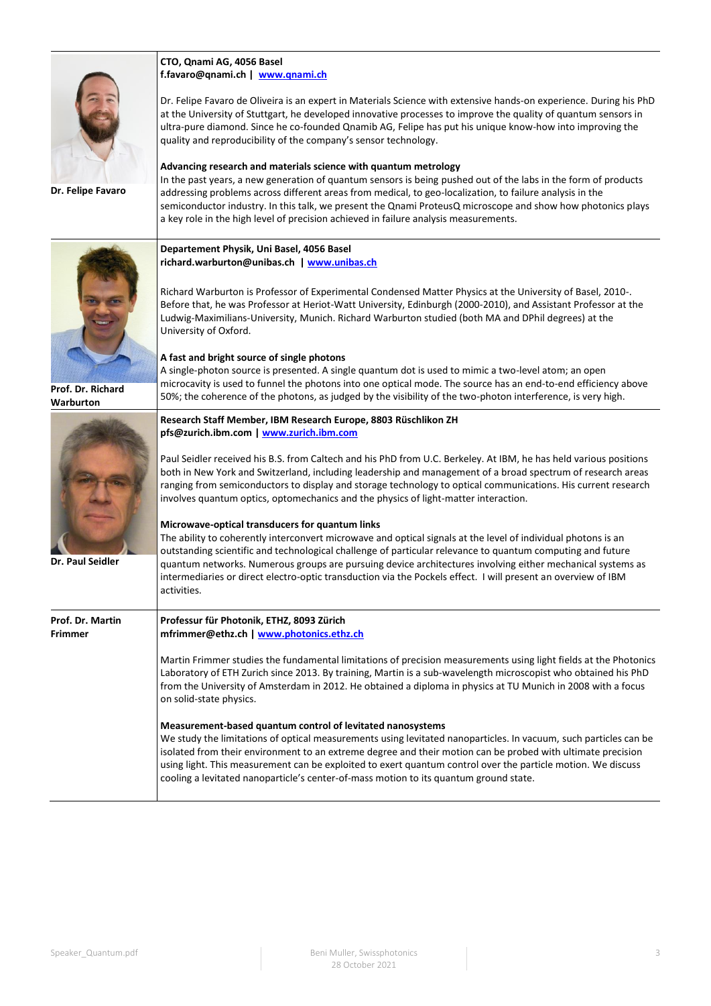|                                    | CTO, Qnami AG, 4056 Basel<br>f.favaro@qnami.ch   www.qnami.ch<br>Dr. Felipe Favaro de Oliveira is an expert in Materials Science with extensive hands-on experience. During his PhD<br>at the University of Stuttgart, he developed innovative processes to improve the quality of quantum sensors in<br>ultra-pure diamond. Since he co-founded Qnamib AG, Felipe has put his unique know-how into improving the<br>quality and reproducibility of the company's sensor technology.                                                                                                                                                                                                                                                                                                                                                                                                                                                                                                                                                                                                  |
|------------------------------------|---------------------------------------------------------------------------------------------------------------------------------------------------------------------------------------------------------------------------------------------------------------------------------------------------------------------------------------------------------------------------------------------------------------------------------------------------------------------------------------------------------------------------------------------------------------------------------------------------------------------------------------------------------------------------------------------------------------------------------------------------------------------------------------------------------------------------------------------------------------------------------------------------------------------------------------------------------------------------------------------------------------------------------------------------------------------------------------|
| Dr. Felipe Favaro                  | Advancing research and materials science with quantum metrology<br>In the past years, a new generation of quantum sensors is being pushed out of the labs in the form of products<br>addressing problems across different areas from medical, to geo-localization, to failure analysis in the<br>semiconductor industry. In this talk, we present the Qnami ProteusQ microscope and show how photonics plays<br>a key role in the high level of precision achieved in failure analysis measurements.                                                                                                                                                                                                                                                                                                                                                                                                                                                                                                                                                                                  |
|                                    | Departement Physik, Uni Basel, 4056 Basel<br>richard.warburton@unibas.ch   www.unibas.ch<br>Richard Warburton is Professor of Experimental Condensed Matter Physics at the University of Basel, 2010-.<br>Before that, he was Professor at Heriot-Watt University, Edinburgh (2000-2010), and Assistant Professor at the<br>Ludwig-Maximilians-University, Munich. Richard Warburton studied (both MA and DPhil degrees) at the<br>University of Oxford.                                                                                                                                                                                                                                                                                                                                                                                                                                                                                                                                                                                                                              |
| Prof. Dr. Richard<br>Warburton     | A fast and bright source of single photons<br>A single-photon source is presented. A single quantum dot is used to mimic a two-level atom; an open<br>microcavity is used to funnel the photons into one optical mode. The source has an end-to-end efficiency above<br>50%; the coherence of the photons, as judged by the visibility of the two-photon interference, is very high.                                                                                                                                                                                                                                                                                                                                                                                                                                                                                                                                                                                                                                                                                                  |
| <b>Dr. Paul Seidler</b>            | Research Staff Member, IBM Research Europe, 8803 Rüschlikon ZH<br>pfs@zurich.ibm.com   www.zurich.ibm.com<br>Paul Seidler received his B.S. from Caltech and his PhD from U.C. Berkeley. At IBM, he has held various positions<br>both in New York and Switzerland, including leadership and management of a broad spectrum of research areas<br>ranging from semiconductors to display and storage technology to optical communications. His current research<br>involves quantum optics, optomechanics and the physics of light-matter interaction.<br>Microwave-optical transducers for quantum links<br>The ability to coherently interconvert microwave and optical signals at the level of individual photons is an<br>outstanding scientific and technological challenge of particular relevance to quantum computing and future<br>quantum networks. Numerous groups are pursuing device architectures involving either mechanical systems as<br>intermediaries or direct electro-optic transduction via the Pockels effect. I will present an overview of IBM<br>activities. |
| Prof. Dr. Martin<br><b>Frimmer</b> | Professur für Photonik, ETHZ, 8093 Zürich<br>mfrimmer@ethz.ch   www.photonics.ethz.ch<br>Martin Frimmer studies the fundamental limitations of precision measurements using light fields at the Photonics<br>Laboratory of ETH Zurich since 2013. By training, Martin is a sub-wavelength microscopist who obtained his PhD<br>from the University of Amsterdam in 2012. He obtained a diploma in physics at TU Munich in 2008 with a focus<br>on solid-state physics.<br>Measurement-based quantum control of levitated nanosystems<br>We study the limitations of optical measurements using levitated nanoparticles. In vacuum, such particles can be<br>isolated from their environment to an extreme degree and their motion can be probed with ultimate precision<br>using light. This measurement can be exploited to exert quantum control over the particle motion. We discuss<br>cooling a levitated nanoparticle's center-of-mass motion to its quantum ground state.                                                                                                      |